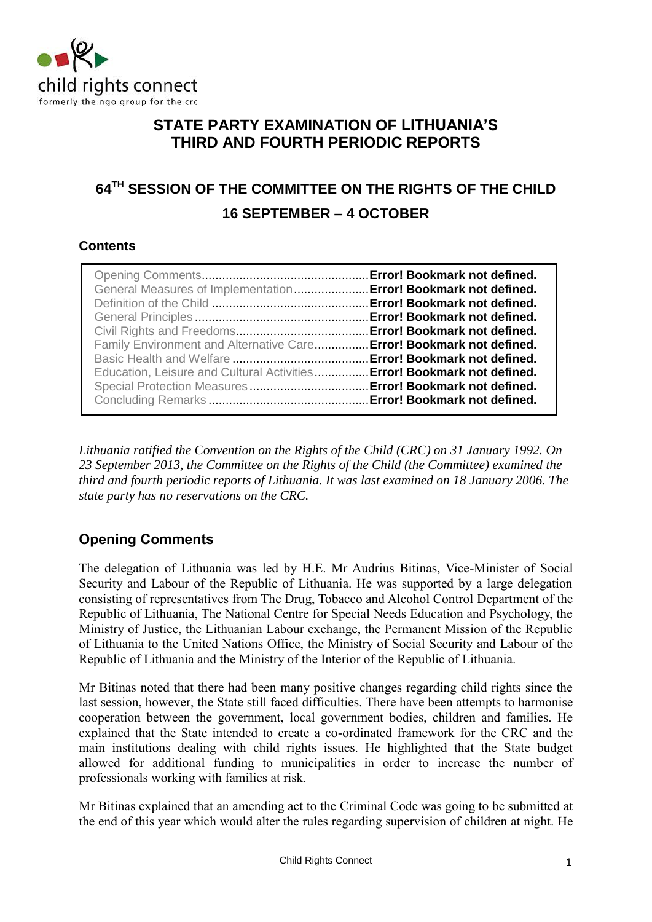

# **STATE PARTY EXAMINATION OF LITHUANIA'S THIRD AND FOURTH PERIODIC REPORTS**

# **64TH SESSION OF THE COMMITTEE ON THE RIGHTS OF THE CHILD 16 SEPTEMBER – 4 OCTOBER**

# **Contents**

*Lithuania ratified the Convention on the Rights of the Child (CRC) on 31 January 1992. On 23 September 2013, the Committee on the Rights of the Child (the Committee) examined the third and fourth periodic reports of Lithuania. It was last examined on 18 January 2006. The state party has no reservations on the CRC.* 

# **Opening Comments**

The delegation of Lithuania was led by H.E. Mr Audrius Bitinas, Vice-Minister of Social Security and Labour of the Republic of Lithuania. He was supported by a large delegation consisting of representatives from The Drug, Tobacco and Alcohol Control Department of the Republic of Lithuania, The National Centre for Special Needs Education and Psychology, the Ministry of Justice, the Lithuanian Labour exchange, the Permanent Mission of the Republic of Lithuania to the United Nations Office, the Ministry of Social Security and Labour of the Republic of Lithuania and the Ministry of the Interior of the Republic of Lithuania.

Mr Bitinas noted that there had been many positive changes regarding child rights since the last session, however, the State still faced difficulties. There have been attempts to harmonise cooperation between the government, local government bodies, children and families. He explained that the State intended to create a co-ordinated framework for the CRC and the main institutions dealing with child rights issues. He highlighted that the State budget allowed for additional funding to municipalities in order to increase the number of professionals working with families at risk.

Mr Bitinas explained that an amending act to the Criminal Code was going to be submitted at the end of this year which would alter the rules regarding supervision of children at night. He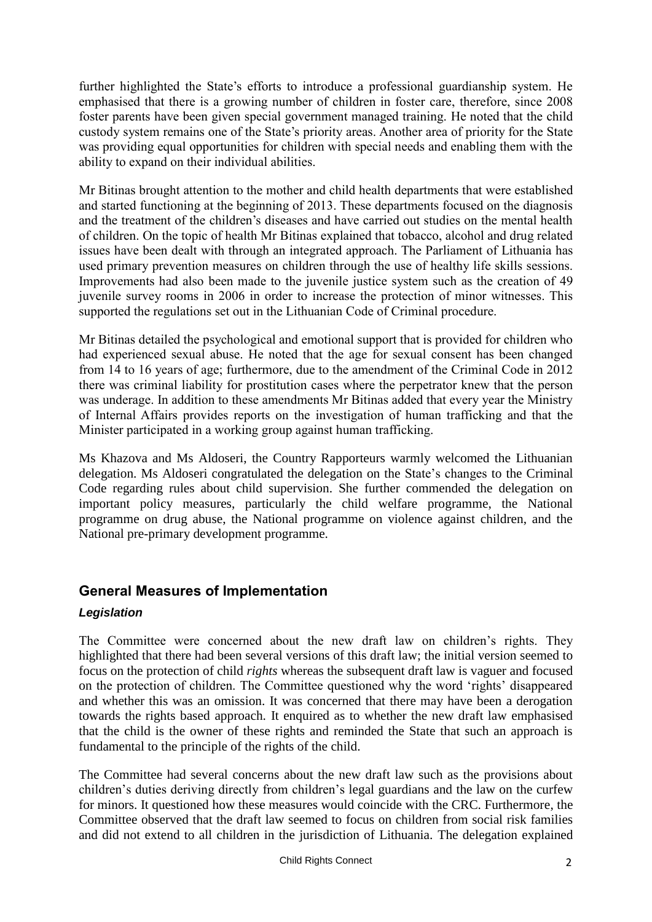further highlighted the State's efforts to introduce a professional guardianship system. He emphasised that there is a growing number of children in foster care, therefore, since 2008 foster parents have been given special government managed training. He noted that the child custody system remains one of the State's priority areas. Another area of priority for the State was providing equal opportunities for children with special needs and enabling them with the ability to expand on their individual abilities.

Mr Bitinas brought attention to the mother and child health departments that were established and started functioning at the beginning of 2013. These departments focused on the diagnosis and the treatment of the children's diseases and have carried out studies on the mental health of children. On the topic of health Mr Bitinas explained that tobacco, alcohol and drug related issues have been dealt with through an integrated approach. The Parliament of Lithuania has used primary prevention measures on children through the use of healthy life skills sessions. Improvements had also been made to the juvenile justice system such as the creation of 49 juvenile survey rooms in 2006 in order to increase the protection of minor witnesses. This supported the regulations set out in the Lithuanian Code of Criminal procedure.

Mr Bitinas detailed the psychological and emotional support that is provided for children who had experienced sexual abuse. He noted that the age for sexual consent has been changed from 14 to 16 years of age; furthermore, due to the amendment of the Criminal Code in 2012 there was criminal liability for prostitution cases where the perpetrator knew that the person was underage. In addition to these amendments Mr Bitinas added that every year the Ministry of Internal Affairs provides reports on the investigation of human trafficking and that the Minister participated in a working group against human trafficking.

Ms Khazova and Ms Aldoseri, the Country Rapporteurs warmly welcomed the Lithuanian delegation. Ms Aldoseri congratulated the delegation on the State's changes to the Criminal Code regarding rules about child supervision. She further commended the delegation on important policy measures, particularly the child welfare programme, the National programme on drug abuse, the National programme on violence against children, and the National pre-primary development programme.

# **General Measures of Implementation**

### *Legislation*

The Committee were concerned about the new draft law on children's rights. They highlighted that there had been several versions of this draft law; the initial version seemed to focus on the protection of child *rights* whereas the subsequent draft law is vaguer and focused on the protection of children. The Committee questioned why the word 'rights' disappeared and whether this was an omission. It was concerned that there may have been a derogation towards the rights based approach. It enquired as to whether the new draft law emphasised that the child is the owner of these rights and reminded the State that such an approach is fundamental to the principle of the rights of the child.

The Committee had several concerns about the new draft law such as the provisions about children's duties deriving directly from children's legal guardians and the law on the curfew for minors. It questioned how these measures would coincide with the CRC. Furthermore, the Committee observed that the draft law seemed to focus on children from social risk families and did not extend to all children in the jurisdiction of Lithuania. The delegation explained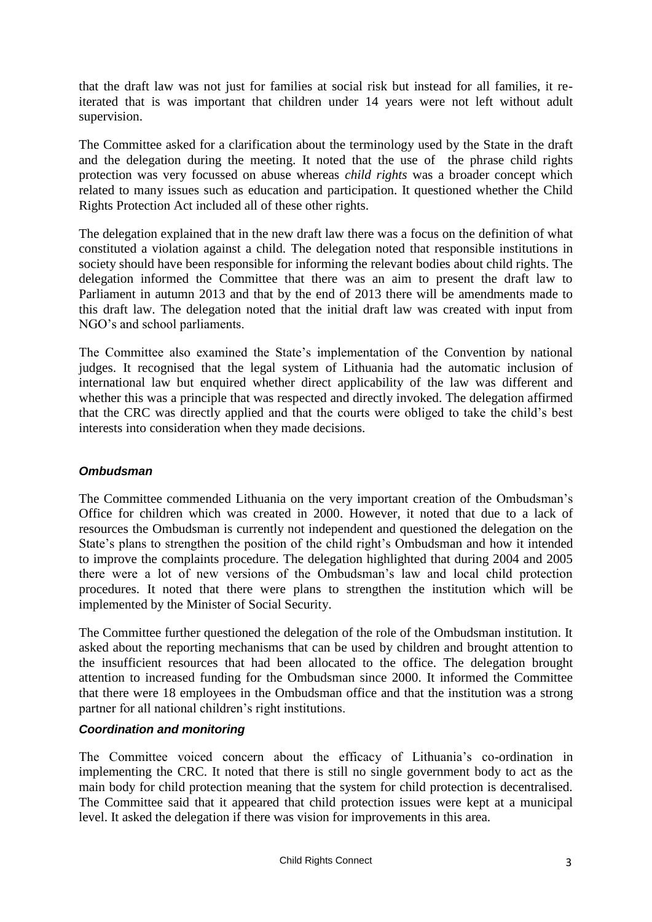that the draft law was not just for families at social risk but instead for all families, it reiterated that is was important that children under 14 years were not left without adult supervision.

The Committee asked for a clarification about the terminology used by the State in the draft and the delegation during the meeting. It noted that the use of the phrase child rights protection was very focussed on abuse whereas *child rights* was a broader concept which related to many issues such as education and participation. It questioned whether the Child Rights Protection Act included all of these other rights.

The delegation explained that in the new draft law there was a focus on the definition of what constituted a violation against a child. The delegation noted that responsible institutions in society should have been responsible for informing the relevant bodies about child rights. The delegation informed the Committee that there was an aim to present the draft law to Parliament in autumn 2013 and that by the end of 2013 there will be amendments made to this draft law. The delegation noted that the initial draft law was created with input from NGO's and school parliaments.

The Committee also examined the State's implementation of the Convention by national judges. It recognised that the legal system of Lithuania had the automatic inclusion of international law but enquired whether direct applicability of the law was different and whether this was a principle that was respected and directly invoked. The delegation affirmed that the CRC was directly applied and that the courts were obliged to take the child's best interests into consideration when they made decisions.

#### *Ombudsman*

The Committee commended Lithuania on the very important creation of the Ombudsman's Office for children which was created in 2000. However, it noted that due to a lack of resources the Ombudsman is currently not independent and questioned the delegation on the State's plans to strengthen the position of the child right's Ombudsman and how it intended to improve the complaints procedure. The delegation highlighted that during 2004 and 2005 there were a lot of new versions of the Ombudsman's law and local child protection procedures. It noted that there were plans to strengthen the institution which will be implemented by the Minister of Social Security.

The Committee further questioned the delegation of the role of the Ombudsman institution. It asked about the reporting mechanisms that can be used by children and brought attention to the insufficient resources that had been allocated to the office. The delegation brought attention to increased funding for the Ombudsman since 2000. It informed the Committee that there were 18 employees in the Ombudsman office and that the institution was a strong partner for all national children's right institutions.

#### *Coordination and monitoring*

The Committee voiced concern about the efficacy of Lithuania's co-ordination in implementing the CRC. It noted that there is still no single government body to act as the main body for child protection meaning that the system for child protection is decentralised. The Committee said that it appeared that child protection issues were kept at a municipal level. It asked the delegation if there was vision for improvements in this area.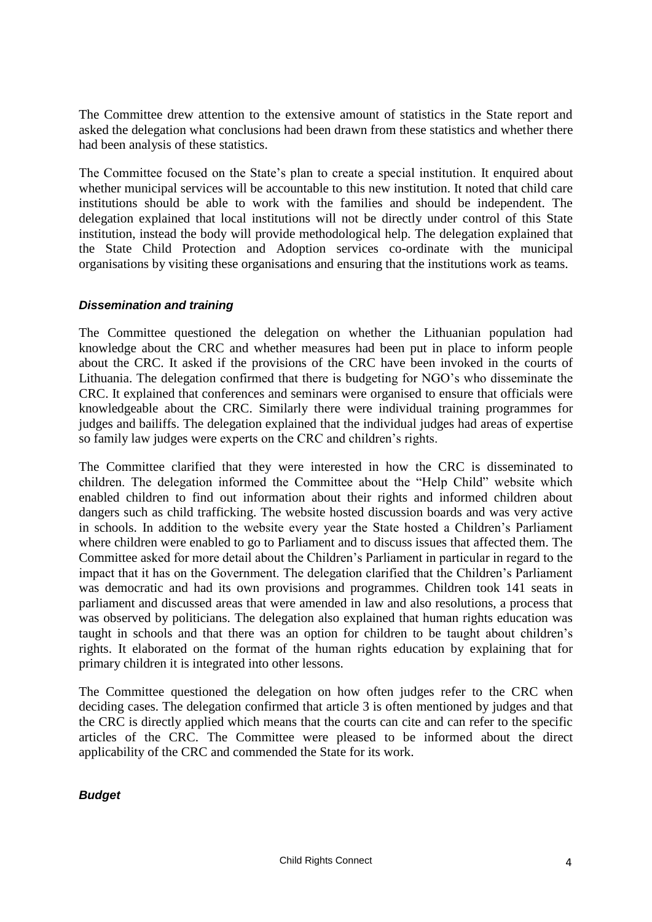The Committee drew attention to the extensive amount of statistics in the State report and asked the delegation what conclusions had been drawn from these statistics and whether there had been analysis of these statistics.

The Committee focused on the State's plan to create a special institution. It enquired about whether municipal services will be accountable to this new institution. It noted that child care institutions should be able to work with the families and should be independent. The delegation explained that local institutions will not be directly under control of this State institution, instead the body will provide methodological help. The delegation explained that the State Child Protection and Adoption services co-ordinate with the municipal organisations by visiting these organisations and ensuring that the institutions work as teams.

#### *Dissemination and training*

The Committee questioned the delegation on whether the Lithuanian population had knowledge about the CRC and whether measures had been put in place to inform people about the CRC. It asked if the provisions of the CRC have been invoked in the courts of Lithuania. The delegation confirmed that there is budgeting for NGO's who disseminate the CRC. It explained that conferences and seminars were organised to ensure that officials were knowledgeable about the CRC. Similarly there were individual training programmes for judges and bailiffs. The delegation explained that the individual judges had areas of expertise so family law judges were experts on the CRC and children's rights.

The Committee clarified that they were interested in how the CRC is disseminated to children. The delegation informed the Committee about the "Help Child" website which enabled children to find out information about their rights and informed children about dangers such as child trafficking. The website hosted discussion boards and was very active in schools. In addition to the website every year the State hosted a Children's Parliament where children were enabled to go to Parliament and to discuss issues that affected them. The Committee asked for more detail about the Children's Parliament in particular in regard to the impact that it has on the Government. The delegation clarified that the Children's Parliament was democratic and had its own provisions and programmes. Children took 141 seats in parliament and discussed areas that were amended in law and also resolutions, a process that was observed by politicians. The delegation also explained that human rights education was taught in schools and that there was an option for children to be taught about children's rights. It elaborated on the format of the human rights education by explaining that for primary children it is integrated into other lessons.

The Committee questioned the delegation on how often judges refer to the CRC when deciding cases. The delegation confirmed that article 3 is often mentioned by judges and that the CRC is directly applied which means that the courts can cite and can refer to the specific articles of the CRC. The Committee were pleased to be informed about the direct applicability of the CRC and commended the State for its work.

#### *Budget*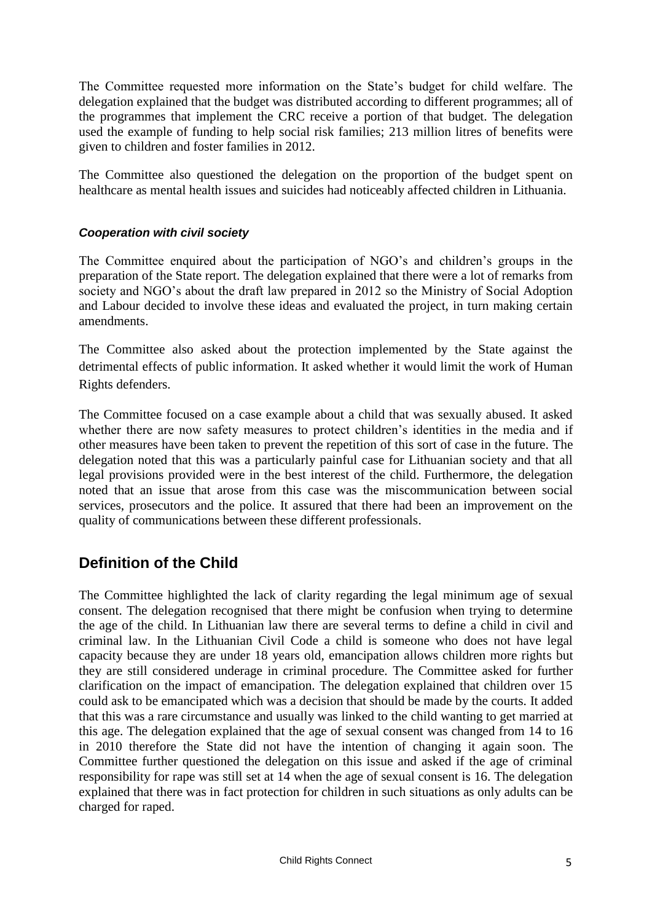The Committee requested more information on the State's budget for child welfare. The delegation explained that the budget was distributed according to different programmes; all of the programmes that implement the CRC receive a portion of that budget. The delegation used the example of funding to help social risk families; 213 million litres of benefits were given to children and foster families in 2012.

The Committee also questioned the delegation on the proportion of the budget spent on healthcare as mental health issues and suicides had noticeably affected children in Lithuania.

#### *Cooperation with civil society*

The Committee enquired about the participation of NGO's and children's groups in the preparation of the State report. The delegation explained that there were a lot of remarks from society and NGO's about the draft law prepared in 2012 so the Ministry of Social Adoption and Labour decided to involve these ideas and evaluated the project, in turn making certain amendments.

The Committee also asked about the protection implemented by the State against the detrimental effects of public information. It asked whether it would limit the work of Human Rights defenders.

The Committee focused on a case example about a child that was sexually abused. It asked whether there are now safety measures to protect children's identities in the media and if other measures have been taken to prevent the repetition of this sort of case in the future. The delegation noted that this was a particularly painful case for Lithuanian society and that all legal provisions provided were in the best interest of the child. Furthermore, the delegation noted that an issue that arose from this case was the miscommunication between social services, prosecutors and the police. It assured that there had been an improvement on the quality of communications between these different professionals.

# **Definition of the Child**

The Committee highlighted the lack of clarity regarding the legal minimum age of sexual consent. The delegation recognised that there might be confusion when trying to determine the age of the child. In Lithuanian law there are several terms to define a child in civil and criminal law. In the Lithuanian Civil Code a child is someone who does not have legal capacity because they are under 18 years old, emancipation allows children more rights but they are still considered underage in criminal procedure. The Committee asked for further clarification on the impact of emancipation. The delegation explained that children over 15 could ask to be emancipated which was a decision that should be made by the courts. It added that this was a rare circumstance and usually was linked to the child wanting to get married at this age. The delegation explained that the age of sexual consent was changed from 14 to 16 in 2010 therefore the State did not have the intention of changing it again soon. The Committee further questioned the delegation on this issue and asked if the age of criminal responsibility for rape was still set at 14 when the age of sexual consent is 16. The delegation explained that there was in fact protection for children in such situations as only adults can be charged for raped.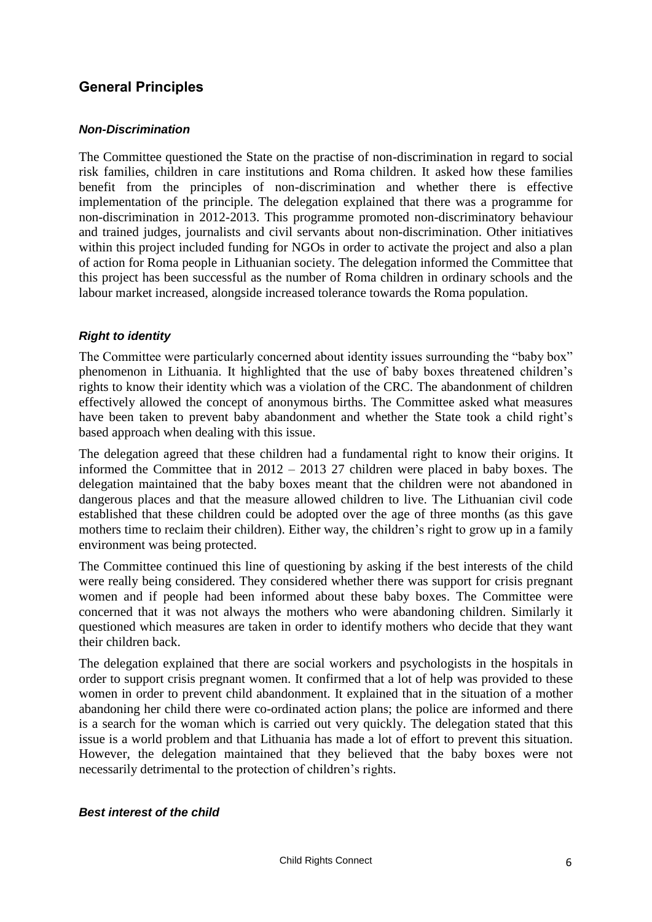# **General Principles**

#### *Non-Discrimination*

The Committee questioned the State on the practise of non-discrimination in regard to social risk families, children in care institutions and Roma children. It asked how these families benefit from the principles of non-discrimination and whether there is effective implementation of the principle. The delegation explained that there was a programme for non-discrimination in 2012-2013. This programme promoted non-discriminatory behaviour and trained judges, journalists and civil servants about non-discrimination. Other initiatives within this project included funding for NGOs in order to activate the project and also a plan of action for Roma people in Lithuanian society. The delegation informed the Committee that this project has been successful as the number of Roma children in ordinary schools and the labour market increased, alongside increased tolerance towards the Roma population.

#### *Right to identity*

The Committee were particularly concerned about identity issues surrounding the "baby box" phenomenon in Lithuania. It highlighted that the use of baby boxes threatened children's rights to know their identity which was a violation of the CRC. The abandonment of children effectively allowed the concept of anonymous births. The Committee asked what measures have been taken to prevent baby abandonment and whether the State took a child right's based approach when dealing with this issue.

The delegation agreed that these children had a fundamental right to know their origins. It informed the Committee that in 2012 – 2013 27 children were placed in baby boxes. The delegation maintained that the baby boxes meant that the children were not abandoned in dangerous places and that the measure allowed children to live. The Lithuanian civil code established that these children could be adopted over the age of three months (as this gave mothers time to reclaim their children). Either way, the children's right to grow up in a family environment was being protected.

The Committee continued this line of questioning by asking if the best interests of the child were really being considered. They considered whether there was support for crisis pregnant women and if people had been informed about these baby boxes. The Committee were concerned that it was not always the mothers who were abandoning children. Similarly it questioned which measures are taken in order to identify mothers who decide that they want their children back.

The delegation explained that there are social workers and psychologists in the hospitals in order to support crisis pregnant women. It confirmed that a lot of help was provided to these women in order to prevent child abandonment. It explained that in the situation of a mother abandoning her child there were co-ordinated action plans; the police are informed and there is a search for the woman which is carried out very quickly. The delegation stated that this issue is a world problem and that Lithuania has made a lot of effort to prevent this situation. However, the delegation maintained that they believed that the baby boxes were not necessarily detrimental to the protection of children's rights.

#### *Best interest of the child*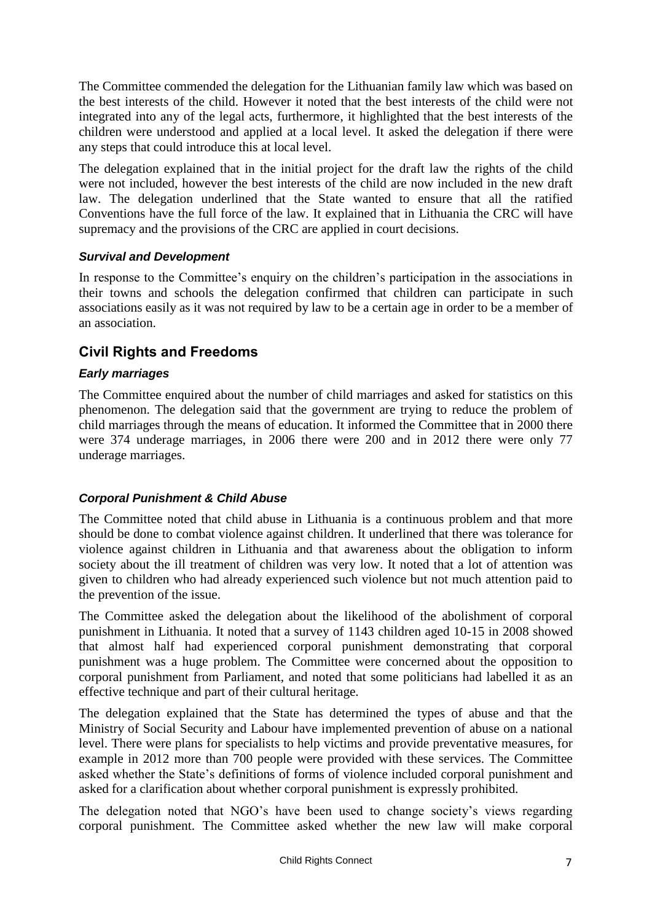The Committee commended the delegation for the Lithuanian family law which was based on the best interests of the child. However it noted that the best interests of the child were not integrated into any of the legal acts, furthermore, it highlighted that the best interests of the children were understood and applied at a local level. It asked the delegation if there were any steps that could introduce this at local level.

The delegation explained that in the initial project for the draft law the rights of the child were not included, however the best interests of the child are now included in the new draft law. The delegation underlined that the State wanted to ensure that all the ratified Conventions have the full force of the law. It explained that in Lithuania the CRC will have supremacy and the provisions of the CRC are applied in court decisions.

#### *Survival and Development*

In response to the Committee's enquiry on the children's participation in the associations in their towns and schools the delegation confirmed that children can participate in such associations easily as it was not required by law to be a certain age in order to be a member of an association.

# **Civil Rights and Freedoms**

#### *Early marriages*

The Committee enquired about the number of child marriages and asked for statistics on this phenomenon. The delegation said that the government are trying to reduce the problem of child marriages through the means of education. It informed the Committee that in 2000 there were 374 underage marriages, in 2006 there were 200 and in 2012 there were only 77 underage marriages.

#### *Corporal Punishment & Child Abuse*

The Committee noted that child abuse in Lithuania is a continuous problem and that more should be done to combat violence against children. It underlined that there was tolerance for violence against children in Lithuania and that awareness about the obligation to inform society about the ill treatment of children was very low. It noted that a lot of attention was given to children who had already experienced such violence but not much attention paid to the prevention of the issue.

The Committee asked the delegation about the likelihood of the abolishment of corporal punishment in Lithuania. It noted that a survey of 1143 children aged 10-15 in 2008 showed that almost half had experienced corporal punishment demonstrating that corporal punishment was a huge problem. The Committee were concerned about the opposition to corporal punishment from Parliament, and noted that some politicians had labelled it as an effective technique and part of their cultural heritage.

The delegation explained that the State has determined the types of abuse and that the Ministry of Social Security and Labour have implemented prevention of abuse on a national level. There were plans for specialists to help victims and provide preventative measures, for example in 2012 more than 700 people were provided with these services. The Committee asked whether the State's definitions of forms of violence included corporal punishment and asked for a clarification about whether corporal punishment is expressly prohibited.

The delegation noted that NGO's have been used to change society's views regarding corporal punishment. The Committee asked whether the new law will make corporal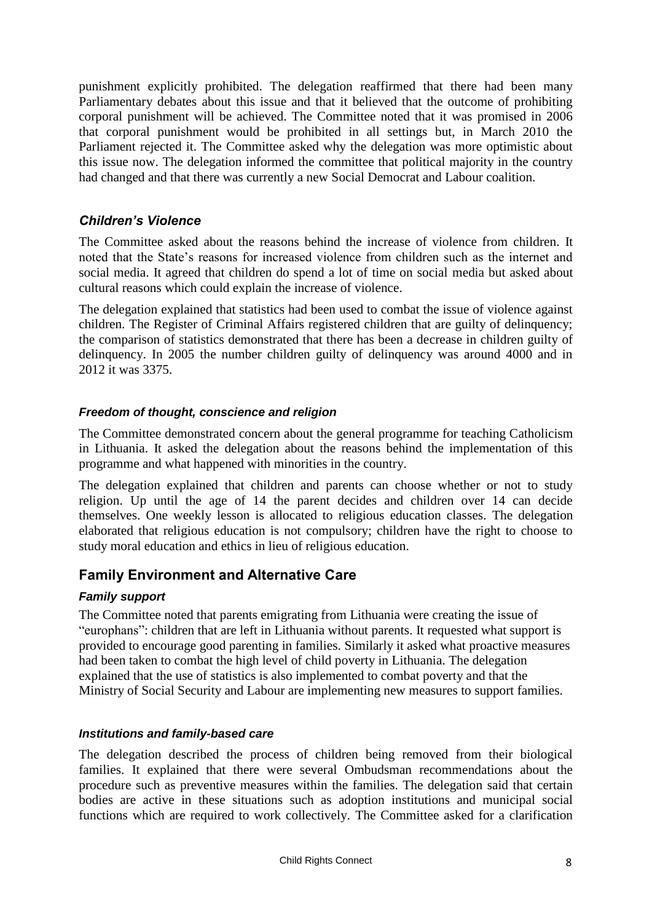punishment explicitly prohibited. The delegation reaffirmed that there had been many Parliamentary debates about this issue and that it believed that the outcome of prohibiting corporal punishment will be achieved. The Committee noted that it was promised in 2006 that corporal punishment would be prohibited in all settings but, in March 2010 the Parliament rejected it. The Committee asked why the delegation was more optimistic about this issue now. The delegation informed the committee that political majority in the country had changed and that there was currently a new Social Democrat and Labour coalition.

#### *Children's Violence*

The Committee asked about the reasons behind the increase of violence from children. It noted that the State's reasons for increased violence from children such as the internet and social media. It agreed that children do spend a lot of time on social media but asked about cultural reasons which could explain the increase of violence.

The delegation explained that statistics had been used to combat the issue of violence against children. The Register of Criminal Affairs registered children that are guilty of delinquency; the comparison of statistics demonstrated that there has been a decrease in children guilty of delinquency. In 2005 the number children guilty of delinquency was around 4000 and in 2012 it was 3375.

#### *Freedom of thought, conscience and religion*

The Committee demonstrated concern about the general programme for teaching Catholicism in Lithuania. It asked the delegation about the reasons behind the implementation of this programme and what happened with minorities in the country.

The delegation explained that children and parents can choose whether or not to study religion. Up until the age of 14 the parent decides and children over 14 can decide themselves. One weekly lesson is allocated to religious education classes. The delegation elaborated that religious education is not compulsory; children have the right to choose to study moral education and ethics in lieu of religious education.

### **Family Environment and Alternative Care**

#### *Family support*

The Committee noted that parents emigrating from Lithuania were creating the issue of "europhans": children that are left in Lithuania without parents. It requested what support is provided to encourage good parenting in families. Similarly it asked what proactive measures had been taken to combat the high level of child poverty in Lithuania. The delegation explained that the use of statistics is also implemented to combat poverty and that the Ministry of Social Security and Labour are implementing new measures to support families.

#### *Institutions and family-based care*

The delegation described the process of children being removed from their biological families. It explained that there were several Ombudsman recommendations about the procedure such as preventive measures within the families. The delegation said that certain bodies are active in these situations such as adoption institutions and municipal social functions which are required to work collectively. The Committee asked for a clarification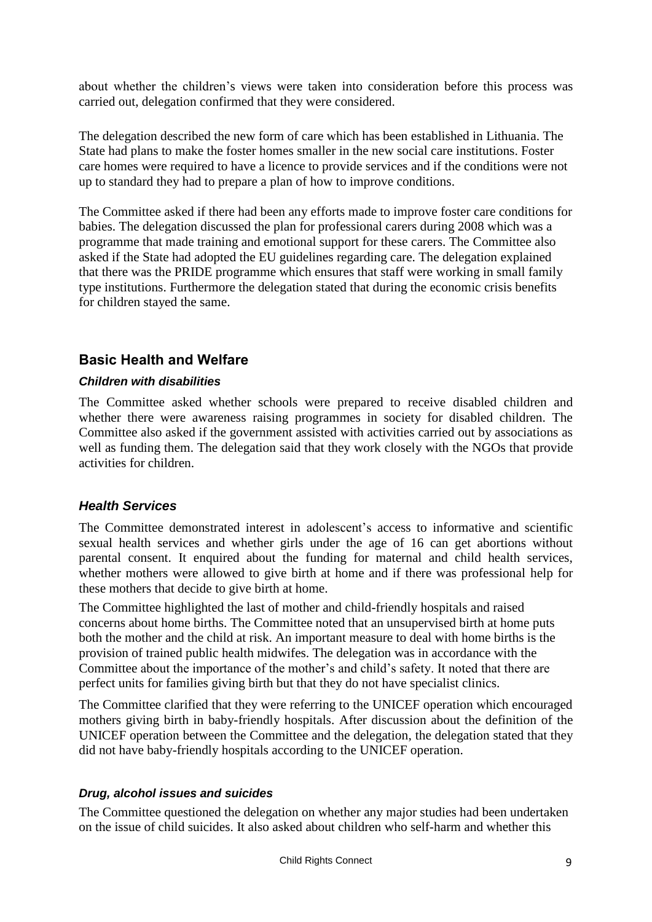about whether the children's views were taken into consideration before this process was carried out, delegation confirmed that they were considered.

The delegation described the new form of care which has been established in Lithuania. The State had plans to make the foster homes smaller in the new social care institutions. Foster care homes were required to have a licence to provide services and if the conditions were not up to standard they had to prepare a plan of how to improve conditions.

The Committee asked if there had been any efforts made to improve foster care conditions for babies. The delegation discussed the plan for professional carers during 2008 which was a programme that made training and emotional support for these carers. The Committee also asked if the State had adopted the EU guidelines regarding care. The delegation explained that there was the PRIDE programme which ensures that staff were working in small family type institutions. Furthermore the delegation stated that during the economic crisis benefits for children stayed the same.

# **Basic Health and Welfare**

#### *Children with disabilities*

The Committee asked whether schools were prepared to receive disabled children and whether there were awareness raising programmes in society for disabled children. The Committee also asked if the government assisted with activities carried out by associations as well as funding them. The delegation said that they work closely with the NGOs that provide activities for children.

#### *Health Services*

The Committee demonstrated interest in adolescent's access to informative and scientific sexual health services and whether girls under the age of 16 can get abortions without parental consent. It enquired about the funding for maternal and child health services, whether mothers were allowed to give birth at home and if there was professional help for these mothers that decide to give birth at home.

The Committee highlighted the last of mother and child-friendly hospitals and raised concerns about home births. The Committee noted that an unsupervised birth at home puts both the mother and the child at risk. An important measure to deal with home births is the provision of trained public health midwifes. The delegation was in accordance with the Committee about the importance of the mother's and child's safety. It noted that there are perfect units for families giving birth but that they do not have specialist clinics.

The Committee clarified that they were referring to the UNICEF operation which encouraged mothers giving birth in baby-friendly hospitals. After discussion about the definition of the UNICEF operation between the Committee and the delegation, the delegation stated that they did not have baby-friendly hospitals according to the UNICEF operation.

#### *Drug, alcohol issues and suicides*

The Committee questioned the delegation on whether any major studies had been undertaken on the issue of child suicides. It also asked about children who self-harm and whether this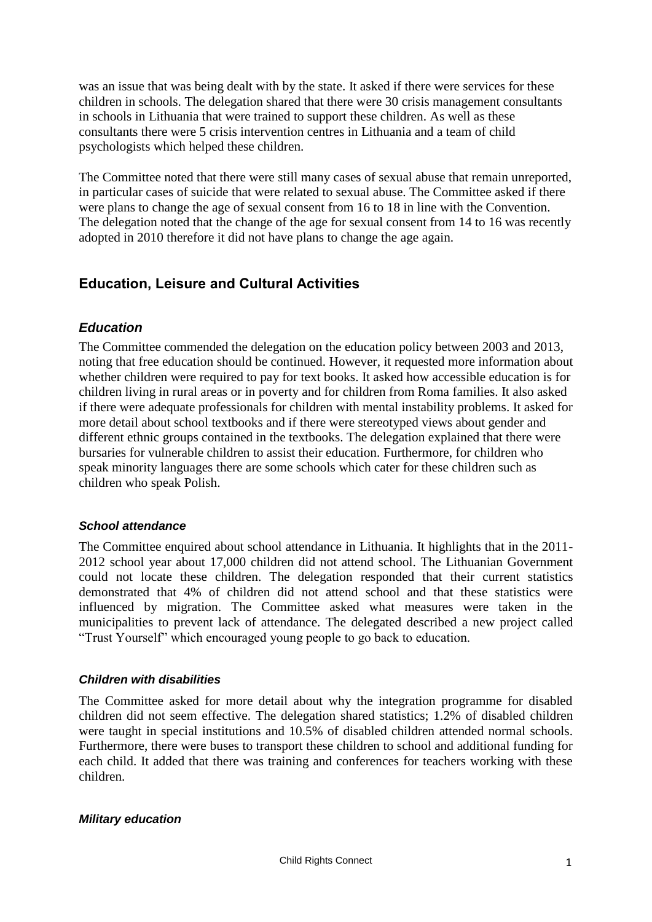was an issue that was being dealt with by the state. It asked if there were services for these children in schools. The delegation shared that there were 30 crisis management consultants in schools in Lithuania that were trained to support these children. As well as these consultants there were 5 crisis intervention centres in Lithuania and a team of child psychologists which helped these children.

The Committee noted that there were still many cases of sexual abuse that remain unreported, in particular cases of suicide that were related to sexual abuse. The Committee asked if there were plans to change the age of sexual consent from 16 to 18 in line with the Convention. The delegation noted that the change of the age for sexual consent from 14 to 16 was recently adopted in 2010 therefore it did not have plans to change the age again.

# **Education, Leisure and Cultural Activities**

#### *Education*

The Committee commended the delegation on the education policy between 2003 and 2013, noting that free education should be continued. However, it requested more information about whether children were required to pay for text books. It asked how accessible education is for children living in rural areas or in poverty and for children from Roma families. It also asked if there were adequate professionals for children with mental instability problems. It asked for more detail about school textbooks and if there were stereotyped views about gender and different ethnic groups contained in the textbooks. The delegation explained that there were bursaries for vulnerable children to assist their education. Furthermore, for children who speak minority languages there are some schools which cater for these children such as children who speak Polish.

#### *School attendance*

The Committee enquired about school attendance in Lithuania. It highlights that in the 2011- 2012 school year about 17,000 children did not attend school. The Lithuanian Government could not locate these children. The delegation responded that their current statistics demonstrated that 4% of children did not attend school and that these statistics were influenced by migration. The Committee asked what measures were taken in the municipalities to prevent lack of attendance. The delegated described a new project called "Trust Yourself" which encouraged young people to go back to education.

#### *Children with disabilities*

The Committee asked for more detail about why the integration programme for disabled children did not seem effective. The delegation shared statistics; 1.2% of disabled children were taught in special institutions and 10.5% of disabled children attended normal schools. Furthermore, there were buses to transport these children to school and additional funding for each child. It added that there was training and conferences for teachers working with these children.

#### *Military education*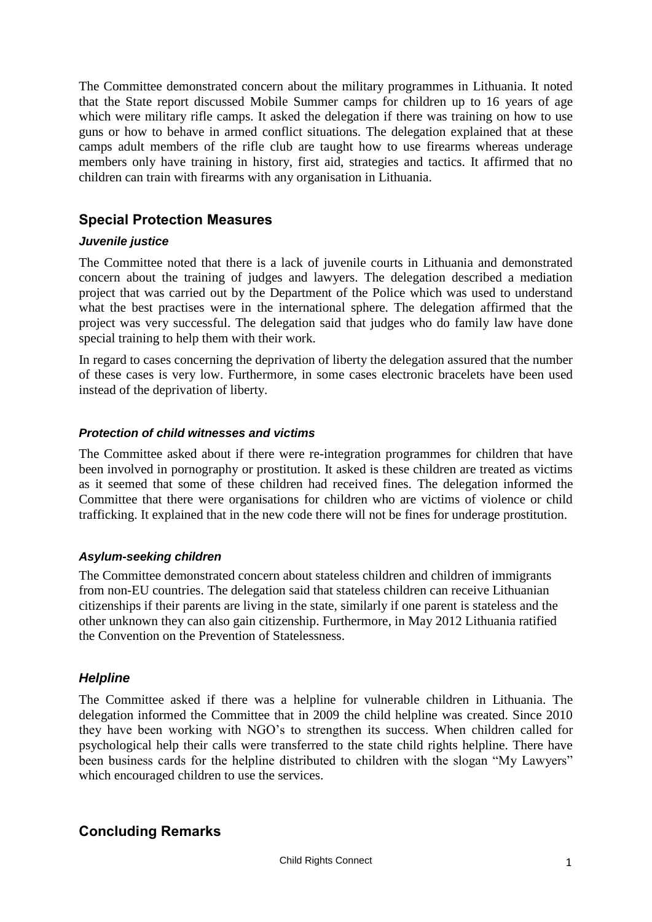The Committee demonstrated concern about the military programmes in Lithuania. It noted that the State report discussed Mobile Summer camps for children up to 16 years of age which were military rifle camps. It asked the delegation if there was training on how to use guns or how to behave in armed conflict situations. The delegation explained that at these camps adult members of the rifle club are taught how to use firearms whereas underage members only have training in history, first aid, strategies and tactics. It affirmed that no children can train with firearms with any organisation in Lithuania.

# **Special Protection Measures**

#### *Juvenile justice*

The Committee noted that there is a lack of juvenile courts in Lithuania and demonstrated concern about the training of judges and lawyers. The delegation described a mediation project that was carried out by the Department of the Police which was used to understand what the best practises were in the international sphere. The delegation affirmed that the project was very successful. The delegation said that judges who do family law have done special training to help them with their work.

In regard to cases concerning the deprivation of liberty the delegation assured that the number of these cases is very low. Furthermore, in some cases electronic bracelets have been used instead of the deprivation of liberty.

#### *Protection of child witnesses and victims*

The Committee asked about if there were re-integration programmes for children that have been involved in pornography or prostitution. It asked is these children are treated as victims as it seemed that some of these children had received fines. The delegation informed the Committee that there were organisations for children who are victims of violence or child trafficking. It explained that in the new code there will not be fines for underage prostitution.

#### *Asylum-seeking children*

The Committee demonstrated concern about stateless children and children of immigrants from non-EU countries. The delegation said that stateless children can receive Lithuanian citizenships if their parents are living in the state, similarly if one parent is stateless and the other unknown they can also gain citizenship. Furthermore, in May 2012 Lithuania ratified the Convention on the Prevention of Statelessness.

#### *Helpline*

The Committee asked if there was a helpline for vulnerable children in Lithuania. The delegation informed the Committee that in 2009 the child helpline was created. Since 2010 they have been working with NGO's to strengthen its success. When children called for psychological help their calls were transferred to the state child rights helpline. There have been business cards for the helpline distributed to children with the slogan "My Lawyers" which encouraged children to use the services.

### **Concluding Remarks**